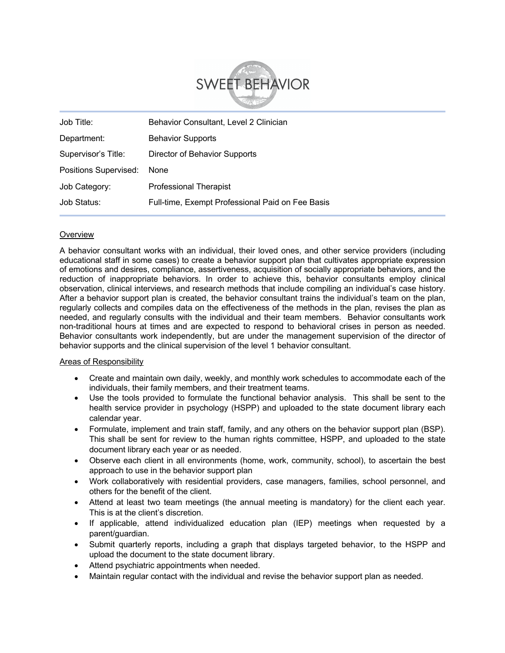

| Job Title:            | Behavior Consultant, Level 2 Clinician           |
|-----------------------|--------------------------------------------------|
| Department:           | <b>Behavior Supports</b>                         |
| Supervisor's Title:   | Director of Behavior Supports                    |
| Positions Supervised: | None                                             |
| Job Category:         | <b>Professional Therapist</b>                    |
| Job Status:           | Full-time, Exempt Professional Paid on Fee Basis |

## **Overview**

A behavior consultant works with an individual, their loved ones, and other service providers (including educational staff in some cases) to create a behavior support plan that cultivates appropriate expression of emotions and desires, compliance, assertiveness, acquisition of socially appropriate behaviors, and the reduction of inappropriate behaviors. In order to achieve this, behavior consultants employ clinical observation, clinical interviews, and research methods that include compiling an individual's case history. After a behavior support plan is created, the behavior consultant trains the individual's team on the plan, regularly collects and compiles data on the effectiveness of the methods in the plan, revises the plan as needed, and regularly consults with the individual and their team members. Behavior consultants work non-traditional hours at times and are expected to respond to behavioral crises in person as needed. Behavior consultants work independently, but are under the management supervision of the director of behavior supports and the clinical supervision of the level 1 behavior consultant.

### Areas of Responsibility

- Create and maintain own daily, weekly, and monthly work schedules to accommodate each of the individuals, their family members, and their treatment teams.
- Use the tools provided to formulate the functional behavior analysis. This shall be sent to the health service provider in psychology (HSPP) and uploaded to the state document library each calendar year.
- Formulate, implement and train staff, family, and any others on the behavior support plan (BSP). This shall be sent for review to the human rights committee, HSPP, and uploaded to the state document library each year or as needed.
- Observe each client in all environments (home, work, community, school), to ascertain the best approach to use in the behavior support plan
- Work collaboratively with residential providers, case managers, families, school personnel, and others for the benefit of the client.
- Attend at least two team meetings (the annual meeting is mandatory) for the client each year. This is at the client's discretion.
- If applicable, attend individualized education plan (IEP) meetings when requested by a parent/guardian.
- Submit quarterly reports, including a graph that displays targeted behavior, to the HSPP and upload the document to the state document library.
- Attend psychiatric appointments when needed.
- Maintain regular contact with the individual and revise the behavior support plan as needed.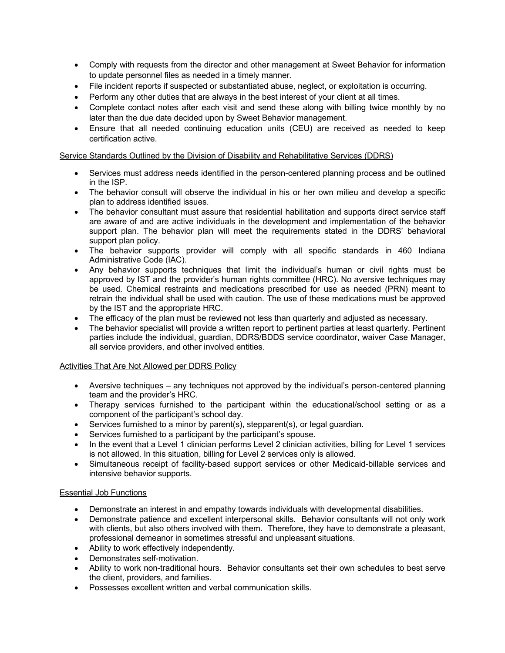- Comply with requests from the director and other management at Sweet Behavior for information to update personnel files as needed in a timely manner.
- File incident reports if suspected or substantiated abuse, neglect, or exploitation is occurring.
- Perform any other duties that are always in the best interest of your client at all times.
- Complete contact notes after each visit and send these along with billing twice monthly by no later than the due date decided upon by Sweet Behavior management.
- Ensure that all needed continuing education units (CEU) are received as needed to keep certification active.

## Service Standards Outlined by the Division of Disability and Rehabilitative Services (DDRS)

- Services must address needs identified in the person-centered planning process and be outlined in the ISP.
- The behavior consult will observe the individual in his or her own milieu and develop a specific plan to address identified issues.
- The behavior consultant must assure that residential habilitation and supports direct service staff are aware of and are active individuals in the development and implementation of the behavior support plan. The behavior plan will meet the requirements stated in the DDRS' behavioral support plan policy.
- The behavior supports provider will comply with all specific standards in 460 Indiana Administrative Code (IAC).
- Any behavior supports techniques that limit the individual's human or civil rights must be approved by IST and the provider's human rights committee (HRC). No aversive techniques may be used. Chemical restraints and medications prescribed for use as needed (PRN) meant to retrain the individual shall be used with caution. The use of these medications must be approved by the IST and the appropriate HRC.
- The efficacy of the plan must be reviewed not less than quarterly and adjusted as necessary.
- The behavior specialist will provide a written report to pertinent parties at least quarterly. Pertinent parties include the individual, guardian, DDRS/BDDS service coordinator, waiver Case Manager, all service providers, and other involved entities.

# Activities That Are Not Allowed per DDRS Policy

- Aversive techniques any techniques not approved by the individual's person-centered planning team and the provider's HRC.
- Therapy services furnished to the participant within the educational/school setting or as a component of the participant's school day.
- Services furnished to a minor by parent(s), stepparent(s), or legal guardian.
- Services furnished to a participant by the participant's spouse.
- In the event that a Level 1 clinician performs Level 2 clinician activities, billing for Level 1 services is not allowed. In this situation, billing for Level 2 services only is allowed.
- Simultaneous receipt of facility-based support services or other Medicaid-billable services and intensive behavior supports.

# Essential Job Functions

- Demonstrate an interest in and empathy towards individuals with developmental disabilities.
- Demonstrate patience and excellent interpersonal skills. Behavior consultants will not only work with clients, but also others involved with them. Therefore, they have to demonstrate a pleasant, professional demeanor in sometimes stressful and unpleasant situations.
- Ability to work effectively independently.
- Demonstrates self-motivation.
- Ability to work non-traditional hours. Behavior consultants set their own schedules to best serve the client, providers, and families.
- Possesses excellent written and verbal communication skills.